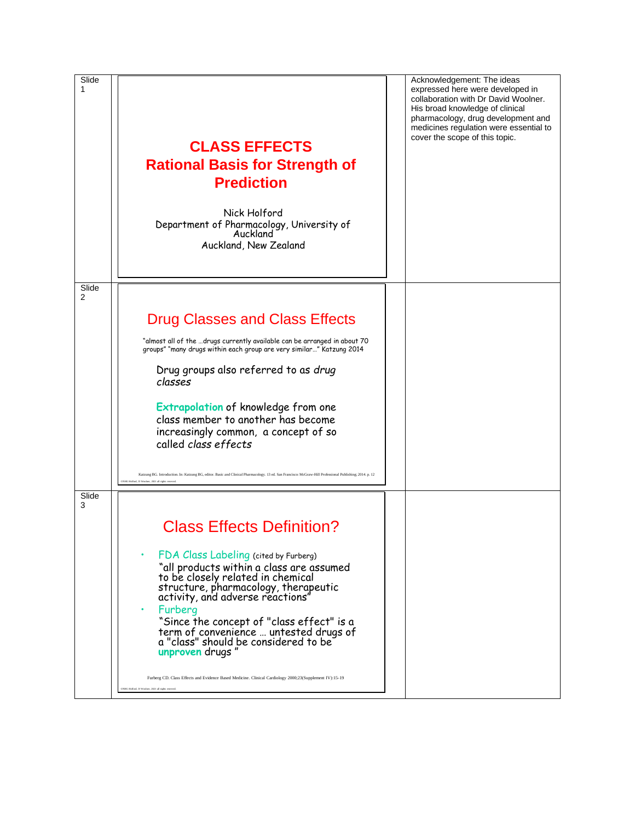| Slide<br>1 | <b>CLASS EFFECTS</b><br><b>Rational Basis for Strength of</b><br><b>Prediction</b><br>Nick Holford<br>Department of Pharmacology, University of<br>Auckland<br>Auckland, New Zealand                                                                                                                                                                             | Acknowledgement: The ideas<br>expressed here were developed in<br>collaboration with Dr David Woolner.<br>His broad knowledge of clinical<br>pharmacology, drug development and<br>medicines regulation were essential to<br>cover the scope of this topic. |
|------------|------------------------------------------------------------------------------------------------------------------------------------------------------------------------------------------------------------------------------------------------------------------------------------------------------------------------------------------------------------------|-------------------------------------------------------------------------------------------------------------------------------------------------------------------------------------------------------------------------------------------------------------|
| Slide<br>2 |                                                                                                                                                                                                                                                                                                                                                                  |                                                                                                                                                                                                                                                             |
|            | <b>Drug Classes and Class Effects</b>                                                                                                                                                                                                                                                                                                                            |                                                                                                                                                                                                                                                             |
|            | "almost all of the drugs currently available can be arranged in about 70<br>groups" "many drugs within each group are very similar" Katzung 2014                                                                                                                                                                                                                 |                                                                                                                                                                                                                                                             |
|            | Drug groups also referred to as drug<br>classes                                                                                                                                                                                                                                                                                                                  |                                                                                                                                                                                                                                                             |
|            | Extrapolation of knowledge from one<br>class member to another has become<br>increasingly common, a concept of so<br>called class effects                                                                                                                                                                                                                        |                                                                                                                                                                                                                                                             |
|            | Katzung BG. Introduction. In: Katzung BG, editor. Basic and Clinical Pharmacology. 13 ed. San Francisco: McGraw-Hill Professional Publishing; 2014. p. 12<br>ONHG Holford, D Woolner, 2021 all rights                                                                                                                                                            |                                                                                                                                                                                                                                                             |
| Slide<br>3 |                                                                                                                                                                                                                                                                                                                                                                  |                                                                                                                                                                                                                                                             |
|            | <b>Class Effects Definition?</b>                                                                                                                                                                                                                                                                                                                                 |                                                                                                                                                                                                                                                             |
|            | FDA Class Labeling (cited by Furberg)<br>"all products within a class are assumed<br>to be closely related in chemical<br>structure, pharmacology, therapeutic<br>activity, and adverse reactions"<br>Furberg<br>"Since the concept of "class effect" is a<br>term of convenience  untested drugs of<br>a "class" should be considered to be<br>unproven drugs " |                                                                                                                                                                                                                                                             |
|            | Furberg CD. Class Effects and Evidence Based Medicine. Clinical Cardiology 2000;23(Supplement IV):15-19<br>ONHG Holford, D Woolner, 2021 all rights reserved.                                                                                                                                                                                                    |                                                                                                                                                                                                                                                             |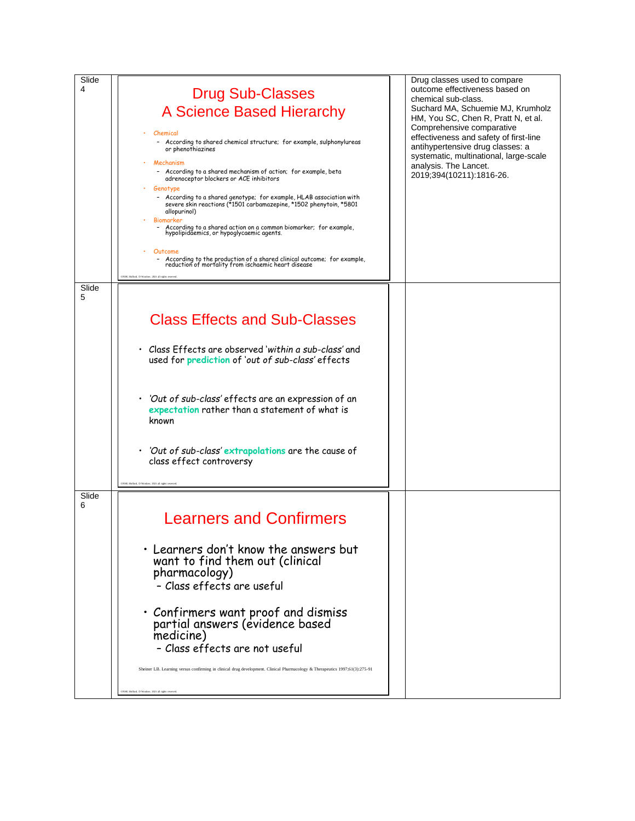| Slide      |                                                                                                                                                                                   |  | Drug classes used to compare                                                                                                                                                                                                                                                           |
|------------|-----------------------------------------------------------------------------------------------------------------------------------------------------------------------------------|--|----------------------------------------------------------------------------------------------------------------------------------------------------------------------------------------------------------------------------------------------------------------------------------------|
| 4          | <b>Drug Sub-Classes</b>                                                                                                                                                           |  | outcome effectiveness based on<br>chemical sub-class.<br>Suchard MA, Schuemie MJ, Krumholz<br>HM, You SC, Chen R, Pratt N, et al.<br>Comprehensive comparative<br>effectiveness and safety of first-line<br>antihypertensive drug classes: a<br>systematic, multinational, large-scale |
|            | A Science Based Hierarchy                                                                                                                                                         |  |                                                                                                                                                                                                                                                                                        |
|            | Chemical<br>- According to shared chemical structure; for example, sulphonylureas<br>or phenothiazines                                                                            |  |                                                                                                                                                                                                                                                                                        |
|            | Mechanism<br>- According to a shared mechanism of action; for example, beta<br>adrenoceptor blockers or ACE inhibitors<br>Genotype                                                |  | analysis. The Lancet.<br>2019;394(10211):1816-26.                                                                                                                                                                                                                                      |
|            | - According to a shared genotype; for example, HLAB association with<br>severe skin reactions (*1501 carbamazepine, *1502 phenytoin, *5801<br>allopurinol)<br>Biomarker           |  |                                                                                                                                                                                                                                                                                        |
|            | - According to a shared action on a common biomarker; for example,<br>hypolipidaemics, or hypoglycaemic agents.                                                                   |  |                                                                                                                                                                                                                                                                                        |
|            | Outcome<br>- According to the production of a shared clinical outcome; for example, reduction of mortality from ischaemic heart disease<br>NHG Holford, D Woolner, 2021 all right |  |                                                                                                                                                                                                                                                                                        |
| Slide<br>5 |                                                                                                                                                                                   |  |                                                                                                                                                                                                                                                                                        |
|            | <b>Class Effects and Sub-Classes</b>                                                                                                                                              |  |                                                                                                                                                                                                                                                                                        |
|            | • Class Effects are observed 'within a sub-class' and<br>used for prediction of 'out of sub-class' effects                                                                        |  |                                                                                                                                                                                                                                                                                        |
|            | 'Out of sub-class' effects are an expression of an<br>expectation rather than a statement of what is<br>known                                                                     |  |                                                                                                                                                                                                                                                                                        |
|            | 'Out of sub-class' extrapolations are the cause of<br>class effect controversy                                                                                                    |  |                                                                                                                                                                                                                                                                                        |
|            | ONHG Holford, D Woolner, 2021 all rights resu                                                                                                                                     |  |                                                                                                                                                                                                                                                                                        |
| Slide<br>6 |                                                                                                                                                                                   |  |                                                                                                                                                                                                                                                                                        |
|            | <b>Learners and Confirmers</b>                                                                                                                                                    |  |                                                                                                                                                                                                                                                                                        |
|            | • Learners don't know the answers but<br>want to find them out (clinical<br>pharmacology)<br>- Class effects are useful                                                           |  |                                                                                                                                                                                                                                                                                        |
|            | • Confirmers want proof and dismiss<br>partial answers (evidence based<br>medicine)<br>- Class effects are not useful                                                             |  |                                                                                                                                                                                                                                                                                        |
|            | Sheiner LB. Learning versus confirming in clinical drug development. Clinical Pharmacology & Therapeutics 1997;61(3):275-91                                                       |  |                                                                                                                                                                                                                                                                                        |
|            | NHG Holford, D Woodner, 2021 all rights                                                                                                                                           |  |                                                                                                                                                                                                                                                                                        |
|            |                                                                                                                                                                                   |  |                                                                                                                                                                                                                                                                                        |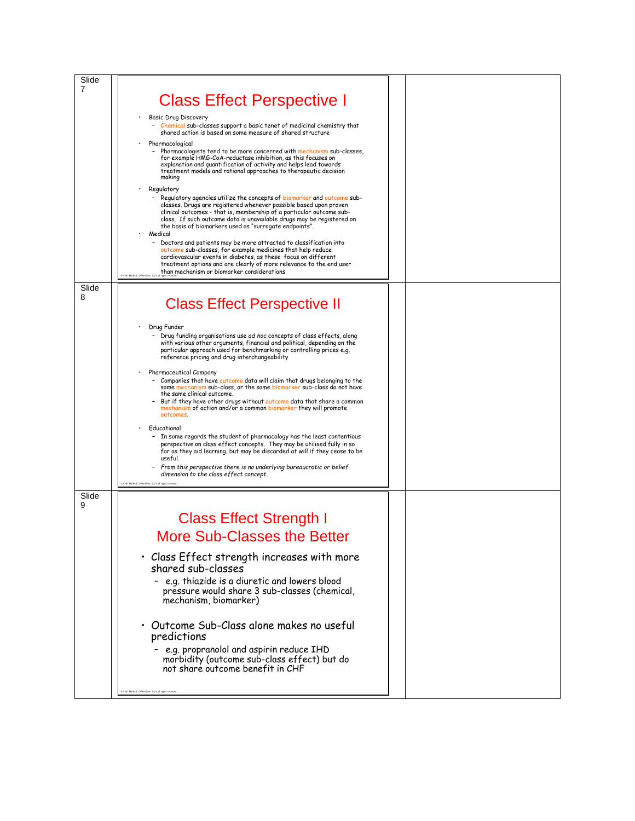| Slide |                                                                                                                                                      |  |
|-------|------------------------------------------------------------------------------------------------------------------------------------------------------|--|
| 7     |                                                                                                                                                      |  |
|       | <b>Class Effect Perspective I</b>                                                                                                                    |  |
|       |                                                                                                                                                      |  |
|       | Basic Drug Discovery<br>- Chemical sub-classes support a basic tenet of medicinal chemistry that                                                     |  |
|       | shared action is based on some measure of shared structure                                                                                           |  |
|       | Pharmacological                                                                                                                                      |  |
|       | Pharmacologists tend to be more concerned with mechanism sub-classes,<br>for example HMG-CoA-reductase inhibition, as this focuses on                |  |
|       | explanation and quantification of activity and helps lead towards                                                                                    |  |
|       | treatment models and rational approaches to therapeutic decision<br>making                                                                           |  |
|       | Regulatory                                                                                                                                           |  |
|       | - Regulatory agencies utilize the concepts of biomarker and outcome sub-                                                                             |  |
|       | classes. Drugs are registered whenever possible based upon proven                                                                                    |  |
|       | clinical outcomes - that is, membership of a particular outcome sub-<br>class. If such outcome data is unavailable drugs may be registered on        |  |
|       | the basis of biomarkers used as "surrogate endpoints".                                                                                               |  |
|       | Medical<br>- Doctors and patients may be more attracted to classification into                                                                       |  |
|       | outcome sub-classes, for example medicines that help reduce                                                                                          |  |
|       | cardiovascular events in diabetes, as these focus on different<br>treatment options and are clearly of more relevance to the end user                |  |
|       | than mechanism or biomarker considerations<br><b>ONRO Bulfael D Wi</b>                                                                               |  |
| Slide |                                                                                                                                                      |  |
| 8     |                                                                                                                                                      |  |
|       | <b>Class Effect Perspective II</b>                                                                                                                   |  |
|       |                                                                                                                                                      |  |
|       | Drug Funder                                                                                                                                          |  |
|       | - Drug funding organisations use ad hoc concepts of class effects, along<br>with various other arguments, financial and political, depending on the  |  |
|       | particular approach used for benchmarking or controlling prices e.g.                                                                                 |  |
|       | reference pricing and drug interchangeability                                                                                                        |  |
|       | Pharmaceutical Company                                                                                                                               |  |
|       | Companies that have outcome data will claim that drugs belonging to the                                                                              |  |
|       | same mechanism sub-class, or the same biomarker sub-class do not have<br>the same clinical outcome.                                                  |  |
|       | But if they have other drugs without outcome data that share a common<br>mechanism of action and/or a common biomarker they will promote             |  |
|       | outcomes.                                                                                                                                            |  |
|       | Educational                                                                                                                                          |  |
|       | - In some regards the student of pharmacology has the least contentious                                                                              |  |
|       | perspective on class effect concepts. They may be utilised fully in so<br>far as they aid learning, but may be discarded at will if they cease to be |  |
|       | useful.                                                                                                                                              |  |
|       | - From this perspective there is no underlying bureaucratic or belief<br>dimension to the class effect concept.                                      |  |
|       |                                                                                                                                                      |  |
| Slide |                                                                                                                                                      |  |
| 9     |                                                                                                                                                      |  |
|       | <b>Class Effect Strength I</b>                                                                                                                       |  |
|       |                                                                                                                                                      |  |
|       | <b>More Sub-Classes the Better</b>                                                                                                                   |  |
|       |                                                                                                                                                      |  |
|       | $\cdot$ Class Effect strength increases with more                                                                                                    |  |
|       | shared sub-classes                                                                                                                                   |  |
|       | - e.g. thiazide is a diuretic and lowers blood                                                                                                       |  |
|       | pressure would share 3 sub-classes (chemical,                                                                                                        |  |
|       | mechanism, biomarker)                                                                                                                                |  |
|       |                                                                                                                                                      |  |
|       | • Outcome Sub-Class alone makes no useful                                                                                                            |  |
|       | predictions                                                                                                                                          |  |
|       | - e.g. propranolol and aspirin reduce IHD                                                                                                            |  |
|       | morbidity (outcome sub-class effect) but do                                                                                                          |  |
|       | not share outcome benefit in CHF                                                                                                                     |  |
|       |                                                                                                                                                      |  |
|       | NHG Holford, D Woolner, 2021 all rights reser-                                                                                                       |  |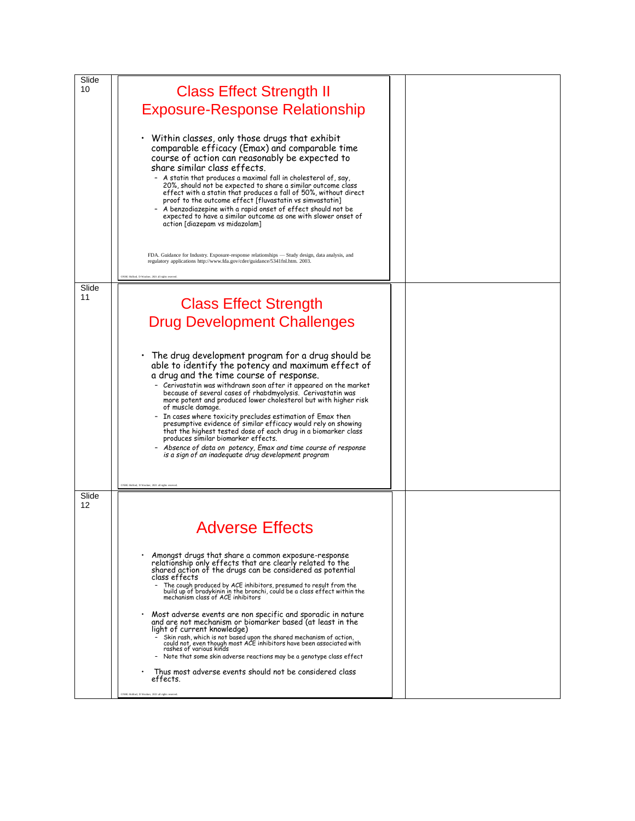| Slide       |                                                                                                                                                                               |  |
|-------------|-------------------------------------------------------------------------------------------------------------------------------------------------------------------------------|--|
| 10          | <b>Class Effect Strength II</b>                                                                                                                                               |  |
|             | <b>Exposure-Response Relationship</b>                                                                                                                                         |  |
|             |                                                                                                                                                                               |  |
|             | Within classes, only those drugs that exhibit                                                                                                                                 |  |
|             | comparable efficacy (Emax) and comparable time                                                                                                                                |  |
|             | course of action can reasonably be expected to<br>share similar class effects.                                                                                                |  |
|             | - A statin that produces a maximal fall in cholesterol of, say,                                                                                                               |  |
|             | 20%, should not be expected to share a similar outcome class<br>effect with a statin that produces a fall of 50%, without direct                                              |  |
|             | proof to the outcome effect [fluvastatin vs simvastatin]<br>A benzodiazepine with a rapid onset of effect should not be                                                       |  |
|             | expected to have a similar outcome as one with slower onset of<br>action [diazepam vs midazolam]                                                                              |  |
|             |                                                                                                                                                                               |  |
|             |                                                                                                                                                                               |  |
|             | FDA. Guidance for Industry. Exposure-response relationships - Study design, data analysis, and<br>regulatory applications http://www.fda.gov/cder/guidance/5341fnl.htm. 2003. |  |
|             | ONHG Holford, D Woolner, 2021 all e                                                                                                                                           |  |
| Slide<br>11 |                                                                                                                                                                               |  |
|             | <b>Class Effect Strength</b>                                                                                                                                                  |  |
|             | <b>Drug Development Challenges</b>                                                                                                                                            |  |
|             |                                                                                                                                                                               |  |
|             | The drug development program for a drug should be                                                                                                                             |  |
|             | able to identify the potency and maximum effect of                                                                                                                            |  |
|             | a drug and the time course of response.<br>- Cerivastatin was withdrawn soon after it appeared on the market                                                                  |  |
|             | because of several cases of rhabdmyolysis. Cerivastatin was<br>more potent and produced lower cholesterol but with higher risk                                                |  |
|             | of muscle damage.                                                                                                                                                             |  |
|             | In cases where toxicity precludes estimation of Emax then<br>presumptive evidence of similar efficacy would rely on showing                                                   |  |
|             | that the highest tested dose of each drug in a biomarker class<br>produces similar biomarker effects.                                                                         |  |
|             | Absence of data on potency, Emax and time course of response<br>is a sign of an inadequate drug development program                                                           |  |
|             |                                                                                                                                                                               |  |
|             | ONHG Holford, D Woolner, 2021 all rights                                                                                                                                      |  |
| Slide       |                                                                                                                                                                               |  |
| 12          |                                                                                                                                                                               |  |
|             | <b>Adverse Effects</b>                                                                                                                                                        |  |
|             |                                                                                                                                                                               |  |
|             | Amongst drugs that share a common exposure-response<br>relationship only effects that are clearly related to the                                                              |  |
|             | shared action of the drugs can be considered as potential<br>class effects                                                                                                    |  |
|             | The cough produced by ACE inhibitors, presumed to result from the<br>build up of bradykinin in the bronchi, could be a class effect within the                                |  |
|             | mechanism class of ACE inhibitors                                                                                                                                             |  |
|             | Most adverse events are non specific and sporadic in nature<br>and are not mechanism or biomarker based (at least in the                                                      |  |
|             | light of current knowledge)<br>Skin rash, which is not based upon the shared mechanism of action,                                                                             |  |
|             | could not, even though most ACE inhibitors have been associated with<br>rashes of various kinds                                                                               |  |
|             | - Note that some skin adverse reactions may be a genotype class effect                                                                                                        |  |
|             | Thus most adverse events should not be considered class<br>effects.                                                                                                           |  |
|             | CNHG Holford, D Woodner, 2021 all rights reserved.                                                                                                                            |  |
|             |                                                                                                                                                                               |  |